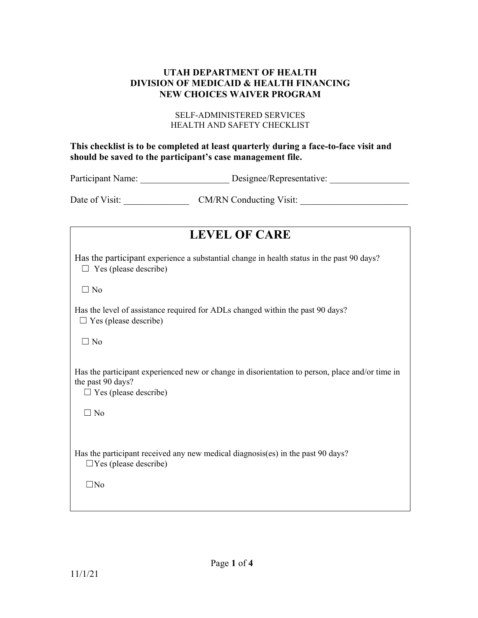### **UTAH DEPARTMENT OF HEALTH DIVISION OF MEDICAID & HEALTH FINANCING NEW CHOICES WAIVER PROGRAM**

#### SELF-ADMINISTERED SERVICES HEALTH AND SAFETY CHECKLIST

### **This checklist is to be completed at least quarterly during a face-to-face visit and should be saved to the participant's case management file.**

Participant Name: \_\_\_\_\_\_\_\_\_\_\_\_\_\_\_\_\_\_\_\_\_\_\_\_\_\_ Designee/Representative: \_\_\_\_\_\_\_\_\_\_\_

Date of Visit: \_\_\_\_\_\_\_\_\_\_\_\_\_\_ CM/RN Conducting Visit: \_\_\_\_\_\_\_\_\_\_\_\_\_\_\_\_\_\_\_\_\_\_\_

| <b>LEVEL OF CARE</b>                                                                                                                                 |
|------------------------------------------------------------------------------------------------------------------------------------------------------|
| Has the participant experience a substantial change in health status in the past 90 days?<br>$\Box$ Yes (please describe)                            |
| $\Box$ No                                                                                                                                            |
| Has the level of assistance required for ADLs changed within the past 90 days?<br>$\Box$ Yes (please describe)                                       |
| $\Box$ No                                                                                                                                            |
| Has the participant experienced new or change in disorientation to person, place and/or time in<br>the past 90 days?<br>$\Box$ Yes (please describe) |
| $\Box$ No                                                                                                                                            |
| Has the participant received any new medical diagnosis(es) in the past 90 days?<br>$\Box$ Yes (please describe)                                      |
| $\Box$ No                                                                                                                                            |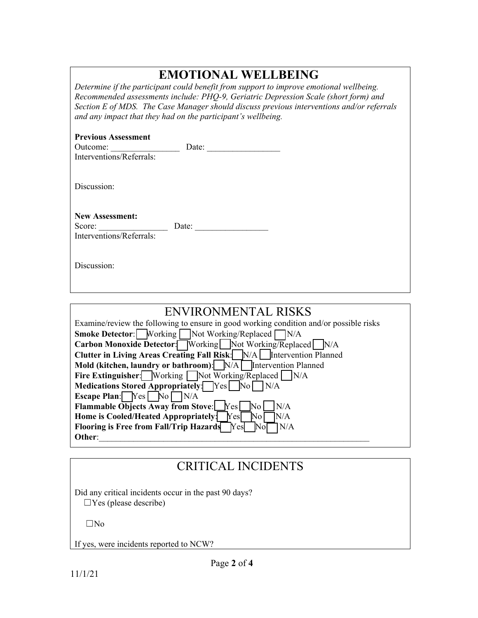# **EMOTIONAL WELLBEING**

*Determine if the participant could benefit from support to improve emotional wellbeing. Recommended assessments include: PHQ-9, Geriatric Depression Scale (short form) and Section E of MDS. The Case Manager should discuss previous interventions and/or referrals and any impact that they had on the participant's wellbeing.* 

| <b>Previous Assessment</b><br>Outcome:<br>Interventions/Referrals: | Date: |  |
|--------------------------------------------------------------------|-------|--|
| Discussion:                                                        |       |  |
| <b>New Assessment:</b><br>Score:<br>Interventions/Referrals:       | Date: |  |
| Discussion:                                                        |       |  |

| ENVIRONMENTAL RISKS                                                                    |
|----------------------------------------------------------------------------------------|
| Examine/review the following to ensure in good working condition and/or possible risks |
| <b>Smoke Detector:</b> Working   Not Working/Replaced N/A                              |
| Carbon Monoxide Detector: Working   Not Working/Replaced N/A                           |
| <b>Clutter in Living Areas Creating Fall Risk:</b> N/A Intervention Planned            |
| Mold (kitchen, laundry or bathroom): N/A Intervention Planned                          |
| <b>Fire Extinguisher:</b> Working Not Working/Replaced $N/A$                           |
| Medications Stored Appropriately: Yes No<br>N/A                                        |
| <b>Escape Plan:</b> $Yes$ No $N/A$                                                     |
| <b>Flammable Objects Away from Stove:</b><br>IN/A<br>Yes<br>$\overline{\text{No}}$     |
| Home is Cooled/Heated Appropriately:<br>N/A<br>Yes<br>No.                              |
| Flooring is Free from Fall/Trip Hazards<br>N/A<br>Yes<br>lNol                          |
| Other:                                                                                 |

## CRITICAL INCIDENTS

Did any critical incidents occur in the past 90 days?  $\Box$ Yes (please describe)

☐No

If yes, were incidents reported to NCW?

ı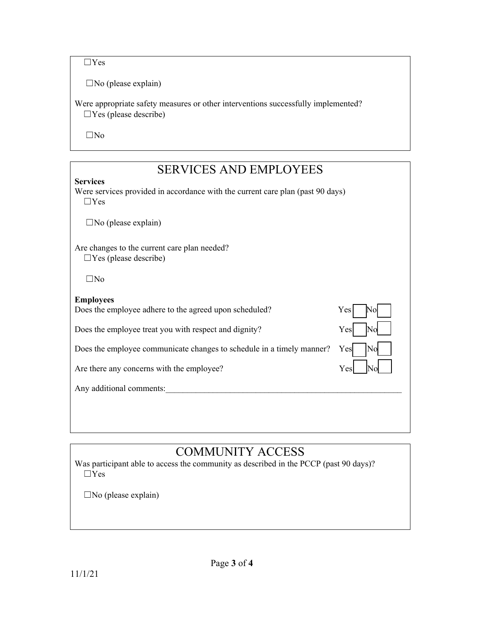$\Box$ Yes

 $\square$ No (please explain)

Were appropriate safety measures or other interventions successfully implemented?  $\Box$ Yes (please describe)

☐No

## SERVICES AND EMPLOYEES

#### **Services**

Were services provided in accordance with the current care plan (past 90 days)  $\Box$ Yes

 $\square$ No (please explain)

Are changes to the current care plan needed?  $\Box$ Yes (please describe)

☐No

### **Employees**

Does the employee adhere to the agreed upon scheduled? Yes

Does the employee treat you with respect and dignity? Yes

Does the employee communicate changes to schedule in a timely manner? Yes

Are there any concerns with the employee? Yes

Any additional comments:



# COMMUNITY ACCESS

Was participant able to access the community as described in the PCCP (past 90 days)?  $\Box$ Yes

 $\square$ No (please explain)